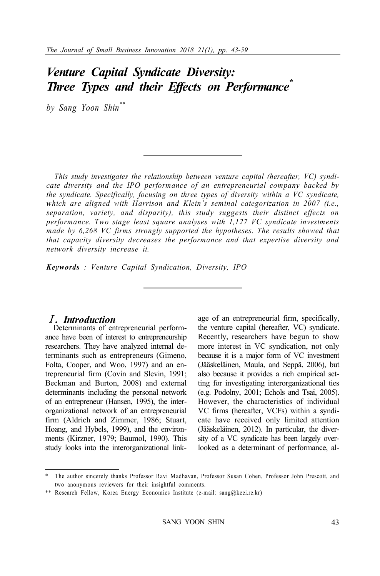# *Venture Capital Syndicate Diversity: Three Types and their Effects on Performance\**

*by Sang Yoon Shin\*\**

*This study investigates the relationship between venture capital (hereafter, VC) syndicate diversity and the IPO performance of an entrepreneurial company backed by the syndicate. Specifically, focusing on three types of diversity within a VC syndicate,*  which are aligned with Harrison and Klein's seminal categorization in 2007 (i.e., *separation, variety, and disparity), this study suggests their distinct effects on performance. Two stage least square analyses with 1,127 VC syndicate investments made by 6,268 VC firms strongly supported the hypotheses. The results showed that that capacity diversity decreases the performance and that expertise diversity and network diversity increase it.* 

*Keywords : Venture Capital Syndication, Diversity, IPO* 

### Ⅰ*. Introduction*

Determinants of entrepreneurial performance have been of interest to entrepreneurship researchers. They have analyzed internal determinants such as entrepreneurs (Gimeno, Folta, Cooper, and Woo, 1997) and an entrepreneurial firm (Covin and Slevin, 1991; Beckman and Burton, 2008) and external determinants including the personal network of an entrepreneur (Hansen, 1995), the interorganizational network of an entrepreneurial firm (Aldrich and Zimmer, 1986; Stuart, Hoang, and Hybels, 1999), and the environments (Kirzner, 1979; Baumol, 1990). This study looks into the interorganizational linkage of an entrepreneurial firm, specifically, the venture capital (hereafter, VC) syndicate. Recently, researchers have begun to show more interest in VC syndication, not only because it is a major form of VC investment (Jääskeläinen, Maula, and Seppä, 2006), but also because it provides a rich empirical setting for investigating interorganizational ties (e.g. Podolny, 2001; Echols and Tsai, 2005). However, the characteristics of individual VC firms (hereafter, VCFs) within a syndicate have received only limited attention (Jääskeläinen, 2012). In particular, the diversity of a VC syndicate has been largely overlooked as a determinant of performance, al-

The author sincerely thanks Professor Ravi Madhavan, Professor Susan Cohen, Professor John Prescott, and two anonymous reviewers for their insightful comments.

<sup>\*\*</sup> Research Fellow, Korea Energy Economics Institute (e-mail: sang@keei.re.kr)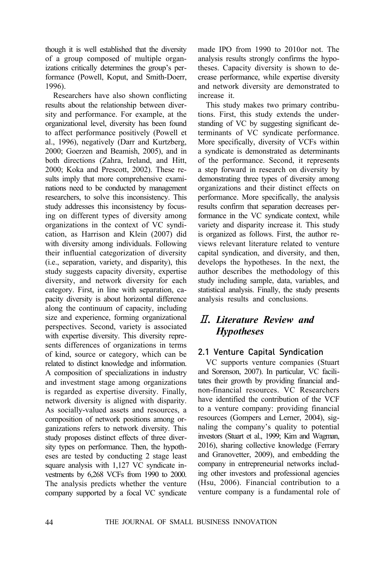though it is well established that the diversity of a group composed of multiple organizations critically determines the group's performance (Powell, Koput, and Smith-Doerr, 1996).

Researchers have also shown conflicting results about the relationship between diversity and performance. For example, at the organizational level, diversity has been found to affect performance positively (Powell et al., 1996), negatively (Darr and Kurtzberg, 2000; Goerzen and Beamish, 2005), and in both directions (Zahra, Ireland, and Hitt, 2000; Koka and Prescott, 2002). These results imply that more comprehensive examinations need to be conducted by management researchers, to solve this inconsistency. This study addresses this inconsistency by focusing on different types of diversity among organizations in the context of VC syndication, as Harrison and Klein (2007) did with diversity among individuals. Following their influential categorization of diversity (i.e., separation, variety, and disparity), this study suggests capacity diversity, expertise diversity, and network diversity for each category. First, in line with separation, capacity diversity is about horizontal difference along the continuum of capacity, including size and experience, forming organizational perspectives. Second, variety is associated with expertise diversity. This diversity represents differences of organizations in terms of kind, source or category, which can be related to distinct knowledge and information. A composition of specializations in industry and investment stage among organizations is regarded as expertise diversity. Finally, network diversity is aligned with disparity. As socially-valued assets and resources, a composition of network positions among organizations refers to network diversity. This study proposes distinct effects of three diversity types on performance. Then, the hypotheses are tested by conducting 2 stage least square analysis with 1,127 VC syndicate investments by 6,268 VCFs from 1990 to 2000. The analysis predicts whether the venture company supported by a focal VC syndicate

made IPO from 1990 to 2010or not. The analysis results strongly confirms the hypotheses. Capacity diversity is shown to decrease performance, while expertise diversity and network diversity are demonstrated to increase it.

This study makes two primary contributions. First, this study extends the understanding of VC by suggesting significant determinants of VC syndicate performance. More specifically, diversity of VCFs within a syndicate is demonstrated as determinants of the performance. Second, it represents a step forward in research on diversity by demonstrating three types of diversity among organizations and their distinct effects on performance. More specifically, the analysis results confirm that separation decreases performance in the VC syndicate context, while variety and disparity increase it. This study is organized as follows. First, the author reviews relevant literature related to venture capital syndication, and diversity, and then, develops the hypotheses. In the next, the author describes the methodology of this study including sample, data, variables, and statistical analysis. Finally, the study presents analysis results and conclusions.

## Ⅱ*. Literature Review and Hypotheses*

## 2.1 Venture Capital Syndication

VC supports venture companies (Stuart and Sorenson, 2007). In particular, VC facilitates their growth by providing financial andnon-financial resources. VC Researchers have identified the contribution of the VCF to a venture company: providing financial resources (Gompers and Lerner, 2004), signaling the company's quality to potential investors (Stuart et al., 1999; Kim and Wagman, 2016), sharing collective knowledge (Ferrary and Granovetter, 2009), and embedding the company in entrepreneurial networks including other investors and professional agencies (Hsu, 2006). Financial contribution to a venture company is a fundamental role of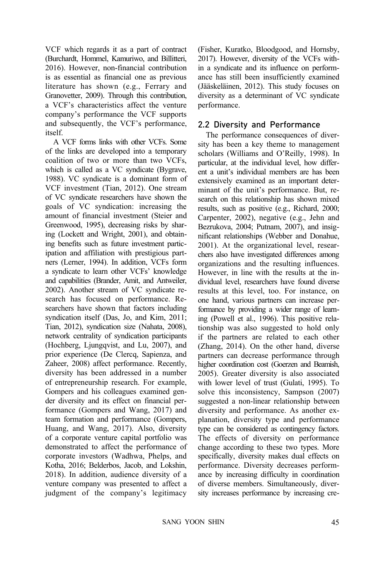VCF which regards it as a part of contract (Burchardt, Hommel, Kamuriwo, and Billitteri, 2016). However, non-financial contribution is as essential as financial one as previous literature has shown (e.g., Ferrary and Granovetter, 2009). Through this contribution, a VCF's characteristics affect the venture company's performance the VCF supports and subsequently, the VCF's performance, itself.

A VCF forms links with other VCFs. Some of the links are developed into a temporary coalition of two or more than two VCFs, which is called as a VC syndicate (Bygrave, 1988). VC syndicate is a dominant form of VCF investment (Tian, 2012). One stream of VC syndicate researchers have shown the goals of VC syndication: increasing the amount of financial investment (Steier and Greenwood, 1995), decreasing risks by sharing (Lockett and Wright, 2001), and obtaining benefits such as future investment participation and affiliation with prestigious partners (Lerner, 1994). In addition, VCFs form a syndicate to learn other VCFs' knowledge and capabilities (Brander, Amit, and Antweiler, 2002). Another stream of VC syndicate research has focused on performance. Researchers have shown that factors including syndication itself (Das, Jo, and Kim, 2011; Tian, 2012), syndication size (Nahata, 2008), network centrality of syndication participants (Hochberg, Ljungqvist, and Lu, 2007), and prior experience (De Clercq, Sapienza, and Zaheer, 2008) affect performance. Recently, diversity has been addressed in a number of entrepreneurship research. For example, Gompers and his colleagues examined gender diversity and its effect on financial performance (Gompers and Wang, 2017) and team formation and performance (Gompers, Huang, and Wang, 2017). Also, diversity of a corporate venture capital portfolio was demonstrated to affect the performance of corporate investors (Wadhwa, Phelps, and Kotha, 2016; Belderbos, Jacob, and Lokshin, 2018). In addition, audience diversity of a venture company was presented to affect a judgment of the company's legitimacy

(Fisher, Kuratko, Bloodgood, and Hornsby, 2017). However, diversity of the VCFs within a syndicate and its influence on performance has still been insufficiently examined (Jääskeläinen, 2012). This study focuses on diversity as a determinant of VC syndicate performance.

#### 2.2 Diversity and Performance

The performance consequences of diversity has been a key theme to management scholars (Williams and O'Reilly, 1998). In particular, at the individual level, how different a unit's individual members are has been extensively examined as an important determinant of the unit's performance. But, research on this relationship has shown mixed results, such as positive (e.g., Richard, 2000; Carpenter, 2002), negative (e.g., Jehn and Bezrukova, 2004; Putnam, 2007), and insignificant relationships (Webber and Donahue, 2001). At the organizational level, researchers also have investigated differences among organizations and the resulting influences. However, in line with the results at the individual level, researchers have found diverse results at this level, too. For instance, on one hand, various partners can increase performance by providing a wider range of learning (Powell et al., 1996). This positive relationship was also suggested to hold only if the partners are related to each other (Zhang, 2014). On the other hand, diverse partners can decrease performance through higher coordination cost (Goerzen and Beamish, 2005). Greater diversity is also associated with lower level of trust (Gulati, 1995). To solve this inconsistency, Sampson (2007) suggested a non-linear relationship between diversity and performance. As another explanation, diversity type and performance type can be considered as contingency factors. The effects of diversity on performance change according to these two types. More specifically, diversity makes dual effects on performance. Diversity decreases performance by increasing difficulty in coordination of diverse members. Simultaneously, diversity increases performance by increasing cre-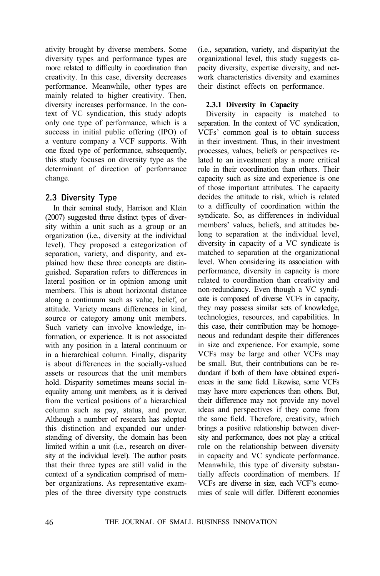ativity brought by diverse members. Some diversity types and performance types are more related to difficulty in coordination than creativity. In this case, diversity decreases performance. Meanwhile, other types are mainly related to higher creativity. Then, diversity increases performance. In the context of VC syndication, this study adopts only one type of performance, which is a success in initial public offering (IPO) of a venture company a VCF supports. With one fixed type of performance, subsequently, this study focuses on diversity type as the determinant of direction of performance change.

### 2.3 Diversity Type

In their seminal study, Harrison and Klein (2007) suggested three distinct types of diversity within a unit such as a group or an organization (i.e., diversity at the individual level). They proposed a categorization of separation, variety, and disparity, and explained how these three concepts are distinguished. Separation refers to differences in lateral position or in opinion among unit members. This is about horizontal distance along a continuum such as value, belief, or attitude. Variety means differences in kind, source or category among unit members. Such variety can involve knowledge, information, or experience. It is not associated with any position in a lateral continuum or in a hierarchical column. Finally, disparity is about differences in the socially-valued assets or resources that the unit members hold. Disparity sometimes means social inequality among unit members, as it is derived from the vertical positions of a hierarchical column such as pay, status, and power. Although a number of research has adopted this distinction and expanded our understanding of diversity, the domain has been limited within a unit (i.e., research on diversity at the individual level). The author posits that their three types are still valid in the context of a syndication comprised of member organizations. As representative examples of the three diversity type constructs (i.e., separation, variety, and disparity)at the organizational level, this study suggests capacity diversity, expertise diversity, and network characteristics diversity and examines their distinct effects on performance.

#### **2.3.1 Diversity in Capacity**

Diversity in capacity is matched to separation. In the context of VC syndication, VCFs' common goal is to obtain success in their investment. Thus, in their investment processes, values, beliefs or perspectives related to an investment play a more critical role in their coordination than others. Their capacity such as size and experience is one of those important attributes. The capacity decides the attitude to risk, which is related to a difficulty of coordination within the syndicate. So, as differences in individual members' values, beliefs, and attitudes belong to separation at the individual level, diversity in capacity of a VC syndicate is matched to separation at the organizational level. When considering its association with performance, diversity in capacity is more related to coordination than creativity and non-redundancy. Even though a VC syndicate is composed of diverse VCFs in capacity, they may possess similar sets of knowledge, technologies, resources, and capabilities. In this case, their contribution may be homogeneous and redundant despite their differences in size and experience. For example, some VCFs may be large and other VCFs may be small. But, their contributions can be redundant if both of them have obtained experiences in the same field. Likewise, some VCFs may have more experiences than others. But, their difference may not provide any novel ideas and perspectives if they come from the same field. Therefore, creativity, which brings a positive relationship between diversity and performance, does not play a critical role on the relationship between diversity in capacity and VC syndicate performance. Meanwhile, this type of diversity substantially affects coordination of members. If VCFs are diverse in size, each VCF's economies of scale will differ. Different economies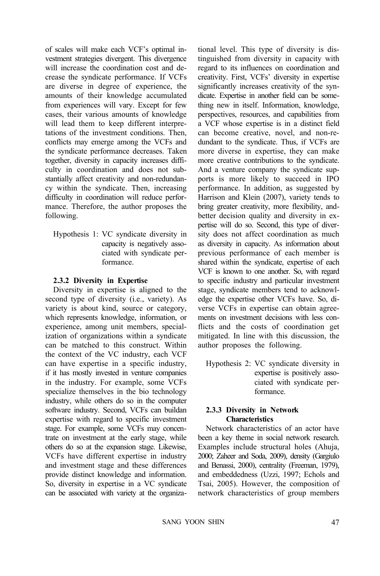of scales will make each VCF's optimal investment strategies divergent. This divergence will increase the coordination cost and decrease the syndicate performance. If VCFs are diverse in degree of experience, the amounts of their knowledge accumulated from experiences will vary. Except for few cases, their various amounts of knowledge will lead them to keep different interpretations of the investment conditions. Then, conflicts may emerge among the VCFs and the syndicate performance decreases. Taken together, diversity in capacity increases difficulty in coordination and does not substantially affect creativity and non-redundancy within the syndicate. Then, increasing difficulty in coordination will reduce performance. Therefore, the author proposes the following.

Hypothesis 1: VC syndicate diversity in capacity is negatively associated with syndicate performance.

#### **2.3.2 Diversity in Expertise**

Diversity in expertise is aligned to the second type of diversity (i.e., variety). As variety is about kind, source or category, which represents knowledge, information, or experience, among unit members, specialization of organizations within a syndicate can be matched to this construct. Within the context of the VC industry, each VCF can have expertise in a specific industry, if it has mostly invested in venture companies in the industry. For example, some VCFs specialize themselves in the bio technology industry, while others do so in the computer software industry. Second, VCFs can buildan expertise with regard to specific investment stage. For example, some VCFs may concentrate on investment at the early stage, while others do so at the expansion stage. Likewise, VCFs have different expertise in industry and investment stage and these differences provide distinct knowledge and information. So, diversity in expertise in a VC syndicate can be associated with variety at the organizational level. This type of diversity is distinguished from diversity in capacity with regard to its influences on coordination and creativity. First, VCFs' diversity in expertise significantly increases creativity of the syndicate. Expertise in another field can be something new in itself. Information, knowledge, perspectives, resources, and capabilities from a VCF whose expertise is in a distinct field can become creative, novel, and non-redundant to the syndicate. Thus, if VCFs are more diverse in expertise, they can make more creative contributions to the syndicate. And a venture company the syndicate supports is more likely to succeed in IPO performance. In addition, as suggested by Harrison and Klein (2007), variety tends to bring greater creativity, more flexibility, andbetter decision quality and diversity in expertise will do so. Second, this type of diversity does not affect coordination as much as diversity in capacity. As information about previous performance of each member is shared within the syndicate, expertise of each VCF is known to one another. So, with regard to specific industry and particular investment stage, syndicate members tend to acknowledge the expertise other VCFs have. So, diverse VCFs in expertise can obtain agreements on investment decisions with less conflicts and the costs of coordination get mitigated. In line with this discussion, the author proposes the following.

Hypothesis 2: VC syndicate diversity in expertise is positively associated with syndicate performance.

#### **2.3.3 Diversity in Network Characteristics**

Network characteristics of an actor have been a key theme in social network research. Examples include structural holes (Ahuja, 2000; Zaheer and Soda, 2009), density (Gargiulo and Benassi, 2000), centrality (Freeman, 1979), and embeddedness (Uzzi, 1997; Echols and Tsai, 2005). However, the composition of network characteristics of group members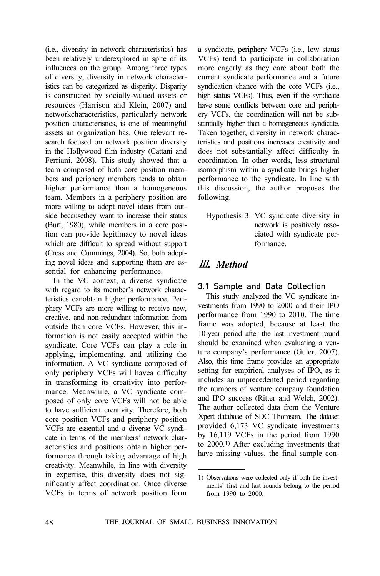(i.e., diversity in network characteristics) has been relatively underexplored in spite of its influences on the group. Among three types of diversity, diversity in network characteristics can be categorized as disparity. Disparity is constructed by socially-valued assets or resources (Harrison and Klein, 2007) and networkcharacteristics, particularly network position characteristics, is one of meaningful assets an organization has. One relevant research focused on network position diversity in the Hollywood film industry (Cattani and Ferriani, 2008). This study showed that a team composed of both core position members and periphery members tends to obtain higher performance than a homogeneous team. Members in a periphery position are more willing to adopt novel ideas from outside becausethey want to increase their status (Burt, 1980), while members in a core position can provide legitimacy to novel ideas which are difficult to spread without support (Cross and Cummings, 2004). So, both adopting novel ideas and supporting them are essential for enhancing performance.

In the VC context, a diverse syndicate with regard to its member's network characteristics canobtain higher performance. Periphery VCFs are more willing to receive new, creative, and non-redundant information from outside than core VCFs. However, this information is not easily accepted within the syndicate. Core VCFs can play a role in applying, implementing, and utilizing the information. A VC syndicate composed of only periphery VCFs will havea difficulty in transforming its creativity into performance. Meanwhile, a VC syndicate composed of only core VCFs will not be able to have sufficient creativity. Therefore, both core position VCFs and periphery position VCFs are essential and a diverse VC syndicate in terms of the members' network characteristics and positions obtain higher performance through taking advantage of high creativity. Meanwhile, in line with diversity in expertise, this diversity does not significantly affect coordination. Once diverse VCFs in terms of network position form

a syndicate, periphery VCFs (i.e., low status VCFs) tend to participate in collaboration more eagerly as they care about both the current syndicate performance and a future syndication chance with the core VCFs (i.e., high status VCFs). Thus, even if the syndicate have some conflicts between core and periphery VCFs, the coordination will not be substantially higher than a homogeneous syndicate. Taken together, diversity in network characteristics and positions increases creativity and does not substantially affect difficulty in coordination. In other words, less structural isomorphism within a syndicate brings higher performance to the syndicate. In line with this discussion, the author proposes the following.

Hypothesis 3: VC syndicate diversity in network is positively associated with syndicate performance.

## Ⅲ*. Method*

## 3.1 Sample and Data Collection

This study analyzed the VC syndicate investments from 1990 to 2000 and their IPO performance from 1990 to 2010. The time frame was adopted, because at least the 10-year period after the last investment round should be examined when evaluating a venture company's performance (Guler, 2007). Also, this time frame provides an appropriate setting for empirical analyses of IPO, as it includes an unprecedented period regarding the numbers of venture company foundation and IPO success (Ritter and Welch, 2002). The author collected data from the Venture Xpert database of SDC Thomson. The dataset provided 6,173 VC syndicate investments by 16,119 VCFs in the period from 1990 to 2000.1) After excluding investments that have missing values, the final sample con-

<sup>1)</sup> Observations were collected only if both the investments' first and last rounds belong to the period from 1990 to 2000.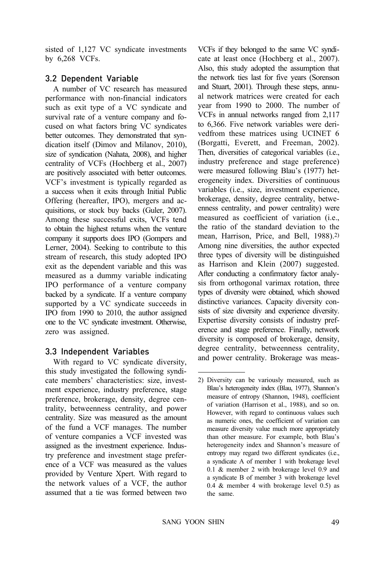sisted of 1,127 VC syndicate investments by 6,268 VCFs.

### 3.2 Dependent Variable

A number of VC research has measured performance with non-financial indicators such as exit type of a VC syndicate and survival rate of a venture company and focused on what factors bring VC syndicates better outcomes. They demonstrated that syndication itself (Dimov and Milanov, 2010), size of syndication (Nahata, 2008), and higher centrality of VCFs (Hochberg et al., 2007) are positively associated with better outcomes. VCF's investment is typically regarded as a success when it exits through Initial Public Offering (hereafter, IPO), mergers and acquisitions, or stock buy backs (Guler, 2007). Among these successful exits, VCFs tend to obtain the highest returns when the venture company it supports does IPO (Gompers and Lerner, 2004). Seeking to contribute to this stream of research, this study adopted IPO exit as the dependent variable and this was measured as a dummy variable indicating IPO performance of a venture company backed by a syndicate. If a venture company supported by a VC syndicate succeeds in IPO from 1990 to 2010, the author assigned one to the VC syndicate investment. Otherwise, zero was assigned.

## 3.3 Independent Variables

With regard to VC syndicate diversity, this study investigated the following syndicate members' characteristics: size, investment experience, industry preference, stage preference, brokerage, density, degree centrality, betweenness centrality, and power centrality. Size was measured as the amount of the fund a VCF manages. The number of venture companies a VCF invested was assigned as the investment experience. Industry preference and investment stage preference of a VCF was measured as the values provided by Venture Xpert. With regard to the network values of a VCF, the author assumed that a tie was formed between two

VCFs if they belonged to the same VC syndicate at least once (Hochberg et al., 2007). Also, this study adopted the assumption that the network ties last for five years (Sorenson and Stuart, 2001). Through these steps, annual network matrices were created for each year from 1990 to 2000. The number of VCFs in annual networks ranged from 2,117 to 6,366. Five network variables were derivedfrom these matrices using UCINET 6 (Borgatti, Everett, and Freeman, 2002). Then, diversities of categorical variables (i.e., industry preference and stage preference) were measured following Blau's (1977) heterogeneity index. Diversities of continuous variables (i.e., size, investment experience, brokerage, density, degree centrality, betweenness centrality, and power centrality) were measured as coefficient of variation (i.e., the ratio of the standard deviation to the mean, Harrison, Price, and Bell, 1988).2) Among nine diversities, the author expected three types of diversity will be distinguished as Harrison and Klein (2007) suggested. After conducting a confirmatory factor analysis from orthogonal varimax rotation, three types of diversity were obtained, which showed distinctive variances. Capacity diversity consists of size diversity and experience diversity. Expertise diversity consists of industry preference and stage preference. Finally, network diversity is composed of brokerage, density, degree centrality, betweenness centrality, and power centrality. Brokerage was meas-

<sup>2)</sup> Diversity can be variously measured, such as Blau's heterogeneity index (Blau, 1977), Shannon's measure of entropy (Shannon, 1948), coefficient of variation (Harrison et al., 1988), and so on. However, with regard to continuous values such as numeric ones, the coefficient of variation can measure diversity value much more appropriately than other measure. For example, both Blau's heterogeneity index and Shannon's measure of entropy may regard two different syndicates (i.e., a syndicate A of member 1 with brokerage level 0.1 & member 2 with brokerage level 0.9 and a syndicate B of member 3 with brokerage level 0.4 & member 4 with brokerage level 0.5) as the same.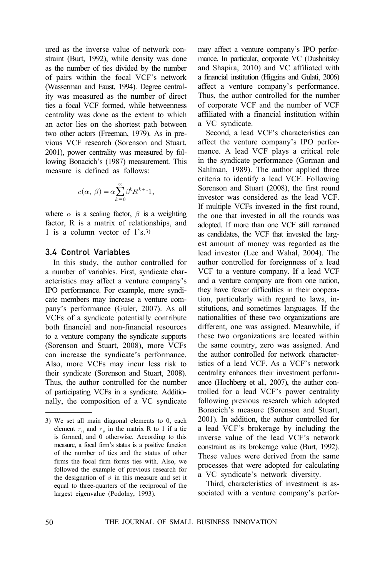ured as the inverse value of network constraint (Burt, 1992), while density was done as the number of ties divided by the number of pairs within the focal VCF's network (Wasserman and Faust, 1994). Degree centrality was measured as the number of direct ties a focal VCF formed, while betweenness centrality was done as the extent to which an actor lies on the shortest path between two other actors (Freeman, 1979). As in previous VCF research (Sorenson and Stuart, 2001), power centrality was measured by following Bonacich's (1987) measurement. This measure is defined as follows:

$$
c(\alpha, \beta) = \alpha \sum_{k=0}^{\infty} \beta^k R^{k+1} \mathbf{1},
$$

where  $\alpha$  is a scaling factor,  $\beta$  is a weighting factor, R is a matrix of relationships, and 1 is a column vector of 1's.3)

#### 3.4 Control Variables

In this study, the author controlled for a number of variables. First, syndicate characteristics may affect a venture company's IPO performance. For example, more syndicate members may increase a venture company's performance (Guler, 2007). As all VCFs of a syndicate potentially contribute both financial and non-financial resources to a venture company the syndicate supports (Sorenson and Stuart, 2008), more VCFs can increase the syndicate's performance. Also, more VCFs may incur less risk to their syndicate (Sorenson and Stuart, 2008). Thus, the author controlled for the number of participating VCFs in a syndicate. Additionally, the composition of a VC syndicate may affect a venture company's IPO performance. In particular, corporate VC (Dushnitsky and Shapira, 2010) and VC affiliated with a financial institution (Higgins and Gulati, 2006) affect a venture company's performance. Thus, the author controlled for the number of corporate VCF and the number of VCF affiliated with a financial institution within a VC syndicate.

Second, a lead VCF's characteristics can affect the venture company's IPO performance. A lead VCF plays a critical role in the syndicate performance (Gorman and Sahlman, 1989). The author applied three criteria to identify a lead VCF. Following Sorenson and Stuart (2008), the first round investor was considered as the lead VCF. If multiple VCFs invested in the first round, the one that invested in all the rounds was adopted. If more than one VCF still remained as candidates, the VCF that invested the largest amount of money was regarded as the lead investor (Lee and Wahal, 2004). The author controlled for foreignness of a lead VCF to a venture company. If a lead VCF and a venture company are from one nation, they have fewer difficulties in their cooperation, particularly with regard to laws, institutions, and sometimes languages. If the nationalities of these two organizations are different, one was assigned. Meanwhile, if these two organizations are located within the same country, zero was assigned. And the author controlled for network characteristics of a lead VCF. As a VCF's network centrality enhances their investment performance (Hochberg et al., 2007), the author controlled for a lead VCF's power centrality following previous research which adopted Bonacich's measure (Sorenson and Stuart, 2001). In addition, the author controlled for a lead VCF's brokerage by including the inverse value of the lead VCF's network constraint as its brokerage value (Burt, 1992). These values were derived from the same processes that were adopted for calculating a VC syndicate's network diversity.

Third, characteristics of investment is associated with a venture company's perfor-

<sup>3)</sup> We set all main diagonal elements to 0, each element  $r_{ij}$  and  $r_{ji}$  in the matrix R to 1 if a tie is formed, and 0 otherwise. According to this measure, a focal firm's status is a positive function of the number of ties and the status of other firms the focal firm forms ties with. Also, we followed the example of previous research for the designation of  $\beta$  in this measure and set it equal to three-quarters of the reciprocal of the largest eigenvalue (Podolny, 1993).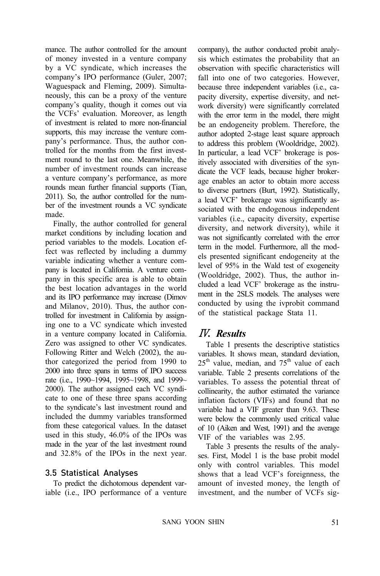mance. The author controlled for the amount of money invested in a venture company by a VC syndicate, which increases the company's IPO performance (Guler, 2007; Waguespack and Fleming, 2009). Simultaneously, this can be a proxy of the venture company's quality, though it comes out via the VCFs' evaluation. Moreover, as length of investment is related to more non-financial supports, this may increase the venture company's performance. Thus, the author controlled for the months from the first investment round to the last one. Meanwhile, the number of investment rounds can increase a venture company's performance, as more rounds mean further financial supports (Tian, 2011). So, the author controlled for the number of the investment rounds a VC syndicate made.

Finally, the author controlled for general market conditions by including location and period variables to the models. Location effect was reflected by including a dummy variable indicating whether a venture company is located in California. A venture company in this specific area is able to obtain the best location advantages in the world and its IPO performance may increase (Dimov and Milanov, 2010). Thus, the author controlled for investment in California by assigning one to a VC syndicate which invested in a venture company located in California. Zero was assigned to other VC syndicates. Following Ritter and Welch (2002), the author categorized the period from 1990 to 2000 into three spans in terms of IPO success rate (i.e., 1990~1994, 1995~1998, and 1999~ 2000). The author assigned each VC syndicate to one of these three spans according to the syndicate's last investment round and included the dummy variables transformed from these categorical values. In the dataset used in this study, 46.0% of the IPOs was made in the year of the last investment round and 32.8% of the IPOs in the next year.

### 3.5 Statistical Analyses

To predict the dichotomous dependent variable (i.e., IPO performance of a venture company), the author conducted probit analysis which estimates the probability that an observation with specific characteristics will fall into one of two categories. However, because three independent variables (i.e., capacity diversity, expertise diversity, and network diversity) were significantly correlated with the error term in the model, there might be an endogeneity problem. Therefore, the author adopted 2-stage least square approach to address this problem (Wooldridge, 2002). In particular, a lead VCF' brokerage is positively associated with diversities of the syndicate the VCF leads, because higher brokerage enables an actor to obtain more access to diverse partners (Burt, 1992). Statistically, a lead VCF' brokerage was significantly associated with the endogenous independent variables (i.e., capacity diversity, expertise diversity, and network diversity), while it was not significantly correlated with the error term in the model. Furthermore, all the models presented significant endogeneity at the level of 95% in the Wald test of exogeneity (Wooldridge, 2002). Thus, the author included a lead VCF' brokerage as the instrument in the 2SLS models. The analyses were conducted by using the ivprobit command of the statistical package Stata 11.

# Ⅳ*. Results*

Table 1 presents the descriptive statistics variables. It shows mean, standard deviation,  $25<sup>th</sup>$  value, median, and  $75<sup>th</sup>$  value of each variable. Table 2 presents correlations of the variables. To assess the potential threat of collinearity, the author estimated the variance inflation factors (VIFs) and found that no variable had a VIF greater than 9.63. These were below the commonly used critical value of 10 (Aiken and West, 1991) and the average VIF of the variables was 2.95.

Table 3 presents the results of the analyses. First, Model 1 is the base probit model only with control variables. This model shows that a lead VCF's foreignness, the amount of invested money, the length of investment, and the number of VCFs sig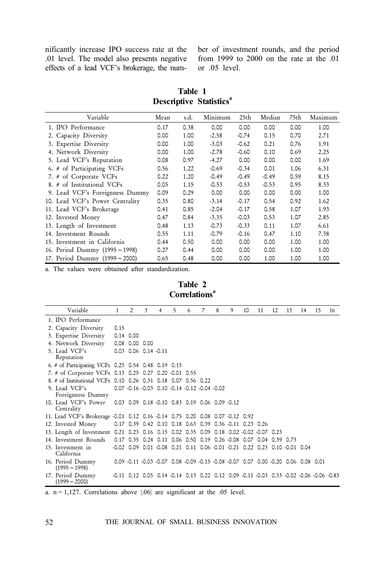effects of a lead VCF's brokerage, the num-

nificantly increase IPO success rate at the ber of investment rounds, and the period .01 level. The model also presents negative from 1999 to 2000 on the rate at the .01 or .05 level.

**Table 1 Descriptive Statistics<sup>a</sup>** 

| Variable                        | Mean | s.d. | Minimum | 25th    | Median  | 75th | Maximum |
|---------------------------------|------|------|---------|---------|---------|------|---------|
| 1. IPO Performance              | 0.17 | 0.38 | 0.00    | 0.00    | 0.00    | 0.00 | 1.00    |
| 2. Capacity Diversity           | 0.00 | 1.00 | $-2.58$ | $-0.74$ | 0.15    | 0.70 | 2.71    |
| 3. Expertise Diversity          | 0.00 | 1.00 | $-3.03$ | $-0.62$ | 0.21    | 0.76 | 1.91    |
| 4. Network Diversity            | 0.00 | 1.00 | $-2.78$ | $-0.60$ | 0.10    | 0.69 | 2.25    |
| 5. Lead VCF's Reputation        | 0.08 | 0.97 | $-4.27$ | 0.00    | 0.00    | 0.00 | 1.69    |
| 6. # of Participating VCFs      | 0.56 | 1.22 | $-0.69$ | $-0.34$ | 0.01    | 1.06 | 6.31    |
| 7. # of Corporate VCFs          | 0.22 | 1.20 | $-0.49$ | $-0.49$ | $-0.49$ | 0.59 | 8.15    |
| 8. # of Institutional VCFs      | 0.05 | 1.15 | $-0.53$ | $-0.53$ | $-0.53$ | 0.95 | 8.33    |
| 9. Lead VCF's Foreignness Dummy | 0.09 | 0.29 | 0.00    | 0.00    | 0.00    | 0.00 | 1.00    |
| 10. Lead VCF's Power Centrality | 0.35 | 0.80 | $-3.14$ | $-0.17$ | 0.54    | 0.92 | 1.62    |
| 11. Lead VCF's Brokerage        | 0.41 | 0.85 | $-2.04$ | $-0.17$ | 0.58    | 1.07 | 1.93    |
| 12. Invested Money              | 0.47 | 0.84 | $-3.35$ | $-0.03$ | 0.53    | 1.07 | 2.85    |
| 13. Length of Investment        | 0.48 | 1.13 | $-0.73$ | $-0.33$ | 0.11    | 1.07 | 6.61    |
| 14. Investment Rounds           | 0.55 | 1.11 | $-0.79$ | $-0.16$ | 0.47    | 1.10 | 7.38    |
| 15. Investment in California    | 0.44 | 0.50 | 0.00    | 0.00    | 0.00    | 1.00 | 1.00    |
| 16. Period Dummy (1995~1998)    | 0.27 | 0.44 | 0.00    | 0.00    | 0.00    | 1.00 | 1.00    |
| 17. Period Dummy (1999~2000)    | 0.65 | 0.48 | 0.00    | 0.00    | 1.00    | 1.00 | 1.00    |

a. The values were obtained after standardization.

**Table 2 Correlations<sup>a</sup>**

| Variable                                                                               | 1    | $\mathfrak{D}$               | 3 | 4                                              | 5 | 6 | 7 | 8 | 9                                                                                                                       | 10 | 11 | 12 | 13 | 14 | 15 | 16 |
|----------------------------------------------------------------------------------------|------|------------------------------|---|------------------------------------------------|---|---|---|---|-------------------------------------------------------------------------------------------------------------------------|----|----|----|----|----|----|----|
| 1. IPO Performance                                                                     |      |                              |   |                                                |   |   |   |   |                                                                                                                         |    |    |    |    |    |    |    |
| 2. Capacity Diversity                                                                  | 0.15 |                              |   |                                                |   |   |   |   |                                                                                                                         |    |    |    |    |    |    |    |
| 3. Expertise Diversity                                                                 |      | $0.14$ 0.00                  |   |                                                |   |   |   |   |                                                                                                                         |    |    |    |    |    |    |    |
| 4. Network Diversity                                                                   |      | $0.08$ 0.00 0.00             |   |                                                |   |   |   |   |                                                                                                                         |    |    |    |    |    |    |    |
| 5. Lead VCF's<br>Reputation                                                            |      | $0.03$ $0.06$ $0.14$ $-0.11$ |   |                                                |   |   |   |   |                                                                                                                         |    |    |    |    |    |    |    |
| 6. # of Participating VCFs 0.25 0.54 0.48 0.19 0.15                                    |      |                              |   |                                                |   |   |   |   |                                                                                                                         |    |    |    |    |    |    |    |
| 7. # of Corporate VCFs 0.13 0.25 0.27 0.20 -0.01 0.55                                  |      |                              |   |                                                |   |   |   |   |                                                                                                                         |    |    |    |    |    |    |    |
| 8. # of Institutional VCFs 0.10 0.26 0.31 0.18 0.07 0.56 0.22                          |      |                              |   |                                                |   |   |   |   |                                                                                                                         |    |    |    |    |    |    |    |
| 9. Lead VCF's<br>Foreignness Dummy                                                     |      |                              |   | 0.07 -0.16 -0.03 0.10 -0.14 -0.12 -0.04 -0.02  |   |   |   |   |                                                                                                                         |    |    |    |    |    |    |    |
| 10. Lead VCF's Power<br>Centrality                                                     |      |                              |   | 0.03 0.09 0.18 -0.10 0.83 0.19 0.06 0.09 -0.12 |   |   |   |   |                                                                                                                         |    |    |    |    |    |    |    |
| 11. Lead VCF's Brokerage -0.01 0.12 0.16 -0.14 0.75 0.20 0.08 0.07 -0.12 0.92          |      |                              |   |                                                |   |   |   |   |                                                                                                                         |    |    |    |    |    |    |    |
| 12. Invested Money                                                                     |      |                              |   |                                                |   |   |   |   | 0.17 0.39 0.42 0.10 0.18 0.63 0.39 0.36 -0.11 0.23 0.26                                                                 |    |    |    |    |    |    |    |
| 13. Length of Investment 0.21 0.23 0.16 0.15 0.02 0.35 0.09 0.18 0.02 -0.02 -0.07 0.23 |      |                              |   |                                                |   |   |   |   |                                                                                                                         |    |    |    |    |    |    |    |
| 14. Investment Rounds                                                                  |      |                              |   |                                                |   |   |   |   | 0.17 0.35 0.24 0.11 0.06 0.50 0.19 0.26 -0.08 0.07 0.04 0.39 0.73                                                       |    |    |    |    |    |    |    |
| 15. Investment in<br>California                                                        |      |                              |   |                                                |   |   |   |   | $-0.02$ 0.09 0.01 $-0.08$ 0.21 0.11 0.06 $-0.01$ $-0.21$ 0.22 0.23 0.10 $-0.01$ 0.04                                    |    |    |    |    |    |    |    |
| 16. Period Dummy<br>$(1995 - 1998)$                                                    |      |                              |   |                                                |   |   |   |   | 0.09 -0.11 -0.03 -0.07 0.08 -0.09 -0.15 -0.08 -0.07 0.07 0.00 -0.20 0.06 0.08 0.01                                      |    |    |    |    |    |    |    |
| 17. Period Dummy<br>(1999 ~ 2000)                                                      |      |                              |   |                                                |   |   |   |   | $-0.11$ $0.12$ $0.05$ $0.14$ $-0.14$ $0.13$ $0.22$ $0.12$ $0.09$ $-0.11$ $-0.03$ $0.33$ $-0.02$ $-0.06$ $-0.06$ $-0.83$ |    |    |    |    |    |    |    |

a.  $n = 1,127$ . Correlations above  $|.06|$  are significant at the .05 level.

52 THE JOURNAL OF SMALL BUSINESS INNOVATION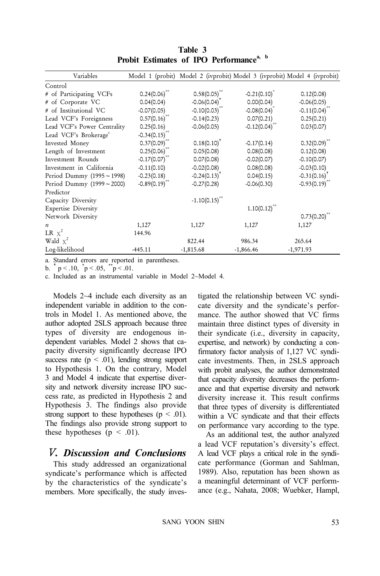| Variables                         |                 | Model 1 (probit) Model 2 (ivprobit) Model 3 (ivprobit) Model 4 (ivprobit) |                             |                            |
|-----------------------------------|-----------------|---------------------------------------------------------------------------|-----------------------------|----------------------------|
| Control                           |                 |                                                                           |                             |                            |
| # of Participating VCFs           | $0.24(0.06)$ ** | 0.58(0.05)                                                                | $-0.21(0.10)^*$             | 0.12(0.08)                 |
| # of Corporate VC                 | 0.04(0.04)      | $-0.06(0.04)^{t}$                                                         | 0.00(0.04)                  | $-0.06(0.05)$              |
| # of Institutional VC             | $-0.07(0.05)$   | $-0.10(0.03)$ <sup>**</sup>                                               | $-0.08(0.04)$               | $-0.11(0.04)$              |
| Lead VCF's Foreignness            | 0.57(0.16)      | $-0.14(0.23)$                                                             | 0.07(0.21)                  | 0.25(0.21)                 |
| Lead VCF's Power Centrality       | 0.25(0.16)      | $-0.06(0.05)$                                                             | $-0.12(0.04)$ <sup>**</sup> | 0.03(0.07)                 |
| Lead VCF's Brokerage <sup>c</sup> | $-0.34(0.15)$   |                                                                           |                             |                            |
| Invested Money                    | 0.37(0.09)      | $0.18(0.10)^{T}$                                                          | $-0.17(0.14)$               | $0.32(0.09)$ <sup>**</sup> |
| Length of Investment              | $0.25(0.06)$ ** | 0.05(0.08)                                                                | 0.08(0.08)                  | 0.12(0.08)                 |
| Investment Rounds                 | $-0.17(0.07)$   | 0.07(0.08)                                                                | $-0.02(0.07)$               | $-0.10(0.07)$              |
| Investment in California          | $-0.11(0.10)$   | $-0.02(0.08)$                                                             | 0.08(0.08)                  | $-0.03(0.10)$              |
| Period Dummy (1995~1998)          | $-0.23(0.18)$   | $-0.24(0.13)^T$                                                           | 0.04(0.15)                  | $-0.31(0.16)$ <sup>*</sup> |
| Period Dummy (1999~2000)          | $-0.89(0.19)$   | $-0.27(0.28)$                                                             | $-0.06(0.30)$               | $-0.93(0.19)$              |
| Predictor                         |                 |                                                                           |                             |                            |
| Capacity Diversity                |                 | $-1.10(0.15)$                                                             |                             |                            |
| <b>Expertise Diversity</b>        |                 |                                                                           | $1.10(0.12)$ <sup>**</sup>  |                            |
| Network Diversity                 |                 |                                                                           |                             | 0.73(0.20)                 |
| $\boldsymbol{n}$                  | 1,127           | 1,127                                                                     | 1,127                       | 1,127                      |
| LR $x^2$                          | 144.96          |                                                                           |                             |                            |
| Wald $x^2$                        |                 | 822.44                                                                    | 986.34                      | 265.64                     |
| Log-likelihood                    | $-445.11$       | $-1,815.68$                                                               | $-1,866.46$                 | $-1,971.93$                |

**Table 3** Probit Estimates of IPO Performance<sup>a, b</sup>

a. Standard errors are reported in parentheses.

b.  $\bar{p}$  < .10,  $\bar{p}$  < .05,  $\bar{p}$  < .01.

c. Included as an instrumental variable in Model 2~Model 4.

Models 2~4 include each diversity as an independent variable in addition to the controls in Model 1. As mentioned above, the author adopted 2SLS approach because three types of diversity are endogenous independent variables. Model 2 shows that capacity diversity significantly decrease IPO success rate  $(p < .01)$ , lending strong support to Hypothesis 1. On the contrary, Model 3 and Model 4 indicate that expertise diversity and network diversity increase IPO success rate, as predicted in Hypothesis 2 and Hypothesis 3. The findings also provide strong support to these hypotheses ( $p < .01$ ). The findings also provide strong support to these hypotheses ( $p < .01$ ).

## Ⅴ*. Discussion and Conclusions*

This study addressed an organizational syndicate's performance which is affected by the characteristics of the syndicate's members. More specifically, the study investigated the relationship between VC syndicate diversity and the syndicate's performance. The author showed that VC firms maintain three distinct types of diversity in their syndicate (i.e., diversity in capacity, expertise, and network) by conducting a confirmatory factor analysis of 1,127 VC syndicate investments. Then, in 2SLS approach with probit analyses, the author demonstrated that capacity diversity decreases the performance and that expertise diversity and network diversity increase it. This result confirms that three types of diversity is differentiated within a VC syndicate and that their effects on performance vary according to the type.

As an additional test, the author analyzed a lead VCF reputation's diversity's effect. A lead VCF plays a critical role in the syndicate performance (Gorman and Sahlman, 1989). Also, reputation has been shown as a meaningful determinant of VCF performance (e.g., Nahata, 2008; Wuebker, Hampl,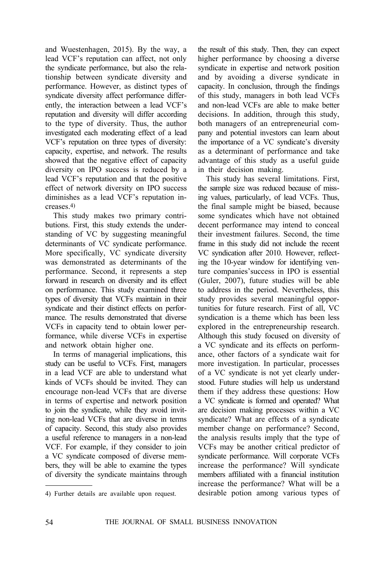and Wuestenhagen, 2015). By the way, a lead VCF's reputation can affect, not only the syndicate performance, but also the relationship between syndicate diversity and performance. However, as distinct types of syndicate diversity affect performance differently, the interaction between a lead VCF's reputation and diversity will differ according to the type of diversity. Thus, the author investigated each moderating effect of a lead VCF's reputation on three types of diversity: capacity, expertise, and network. The results showed that the negative effect of capacity diversity on IPO success is reduced by a lead VCF's reputation and that the positive effect of network diversity on IPO success diminishes as a lead VCF's reputation increases.4)

This study makes two primary contributions. First, this study extends the understanding of VC by suggesting meaningful determinants of VC syndicate performance. More specifically, VC syndicate diversity was demonstrated as determinants of the performance. Second, it represents a step forward in research on diversity and its effect on performance. This study examined three types of diversity that VCFs maintain in their syndicate and their distinct effects on performance. The results demonstrated that diverse VCFs in capacity tend to obtain lower performance, while diverse VCFs in expertise and network obtain higher one.

In terms of managerial implications, this study can be useful to VCFs. First, managers in a lead VCF are able to understand what kinds of VCFs should be invited. They can encourage non-lead VCFs that are diverse in terms of expertise and network position to join the syndicate, while they avoid inviting non-lead VCFs that are diverse in terms of capacity. Second, this study also provides a useful reference to managers in a non-lead VCF. For example, if they consider to join a VC syndicate composed of diverse members, they will be able to examine the types of diversity the syndicate maintains through

4) Further details are available upon request.

the result of this study. Then, they can expect higher performance by choosing a diverse syndicate in expertise and network position and by avoiding a diverse syndicate in capacity. In conclusion, through the findings of this study, managers in both lead VCFs and non-lead VCFs are able to make better decisions. In addition, through this study, both managers of an entrepreneurial company and potential investors can learn about the importance of a VC syndicate's diversity as a determinant of performance and take advantage of this study as a useful guide in their decision making.

This study has several limitations. First, the sample size was reduced because of missing values, particularly, of lead VCFs. Thus, the final sample might be biased, because some syndicates which have not obtained decent performance may intend to conceal their investment failures. Second, the time frame in this study did not include the recent VC syndication after 2010. However, reflecting the 10-year window for identifying venture companies'success in IPO is essential (Guler, 2007), future studies will be able to address in the period. Nevertheless, this study provides several meaningful opportunities for future research. First of all, VC syndication is a theme which has been less explored in the entrepreneurship research. Although this study focused on diversity of a VC syndicate and its effects on performance, other factors of a syndicate wait for more investigation. In particular, processes of a VC syndicate is not yet clearly understood. Future studies will help us understand them if they address these questions: How a VC syndicate is formed and operated? What are decision making processes within a VC syndicate? What are effects of a syndicate member change on performance? Second, the analysis results imply that the type of VCFs may be another critical predictor of syndicate performance. Will corporate VCFs increase the performance? Will syndicate members affiliated with a financial institution increase the performance? What will be a desirable potion among various types of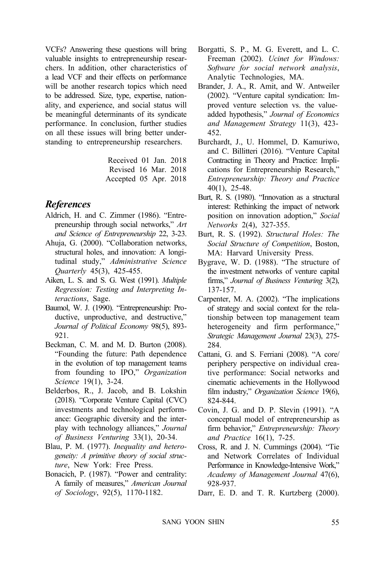VCFs? Answering these questions will bring valuable insights to entrepreneurship researchers. In addition, other characteristics of a lead VCF and their effects on performance will be another research topics which need to be addressed. Size, type, expertise, nationality, and experience, and social status will be meaningful determinants of its syndicate performance. In conclusion, further studies on all these issues will bring better understanding to entrepreneurship researchers.

> Received 01 Jan. 2018 Revised 16 Mar. 2018 Accepted 05 Apr. 2018

## *References*

- Aldrich, H. and C. Zimmer (1986). "Entrepreneurship through social networks," *Art and Science of Entrepreneurship* 22, 3-23.
- Ahuja, G. (2000). "Collaboration networks, structural holes, and innovation: A longitudinal study," *Administrative Science Quarterly* 45(3), 425-455.
- Aiken, L. S. and S. G. West (1991). *Multiple Regression: Testing and Interpreting Interactions*, Sage.
- Baumol, W. J. (1990). "Entrepreneurship: Productive, unproductive, and destructive," *Journal of Political Economy* 98(5), 893- 921.
- Beckman, C. M. and M. D. Burton (2008). "Founding the future: Path dependence in the evolution of top management teams from founding to IPO," *Organization Science* 19(1), 3-24.
- Belderbos, R., J. Jacob, and B. Lokshin (2018). "Corporate Venture Capital (CVC) investments and technological performance: Geographic diversity and the interplay with technology alliances," *Journal of Business Venturing* 33(1), 20-34.
- Blau, P. M. (1977). *Inequality and heterogeneity: A primitive theory of social structure*, New York: Free Press.
- Bonacich, P. (1987). "Power and centrality: A family of measures," *American Journal of Sociology*, 92(5), 1170-1182.
- Borgatti, S. P., M. G. Everett, and L. C. Freeman (2002). *Ucinet for Windows: Software for social network analysis*, Analytic Technologies, MA.
- Brander, J. A., R. Amit, and W. Antweiler (2002). "Venture capital syndication: Improved venture selection vs. the valueadded hypothesis," *Journal of Economics and Management Strategy* 11(3), 423- 452.
- Burchardt, J., U. Hommel, D. Kamuriwo, and C. Billitteri (2016). "Venture Capital Contracting in Theory and Practice: Implications for Entrepreneurship Research," *Entrepreneurship: Theory and Practice* 40(1), 25-48.
- Burt, R. S. (1980). "Innovation as a structural interest: Rethinking the impact of network position on innovation adoption," *Social Networks* 2(4), 327-355.
- Burt, R. S. (1992). *Structural Holes: The Social Structure of Competition*, Boston, MA: Harvard University Press.
- Bygrave, W. D. (1988). "The structure of the investment networks of venture capital firms," *Journal of Business Venturing* 3(2), 137-157.
- Carpenter, M. A. (2002). "The implications of strategy and social context for the relationship between top management team heterogeneity and firm performance," *Strategic Management Journal* 23(3), 275- 284.
- Cattani, G. and S. Ferriani (2008). "A core/ periphery perspective on individual creative performance: Social networks and cinematic achievements in the Hollywood film industry," *Organization Science* 19(6), 824-844.
- Covin, J. G. and D. P. Slevin (1991). "A conceptual model of entrepreneurship as firm behavior," *Entrepreneurship: Theory and Practice* 16(1), 7-25.
- Cross, R. and J. N. Cummings (2004). "Tie and Network Correlates of Individual Performance in Knowledge-Intensive Work," *Academy of Management Journal* 47(6), 928-937.
- Darr, E. D. and T. R. Kurtzberg (2000).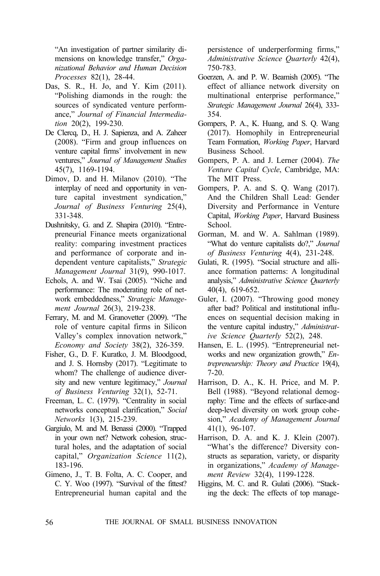"An investigation of partner similarity dimensions on knowledge transfer," *Organizational Behavior and Human Decision Processes* 82(1), 28-44.

- Das, S. R., H. Jo, and Y. Kim (2011). "Polishing diamonds in the rough: the sources of syndicated venture performance," *Journal of Financial Intermediation* 20(2), 199-230.
- De Clercq, D., H. J. Sapienza, and A. Zaheer (2008). "Firm and group influences on venture capital firms' involvement in new ventures," *Journal of Management Studies* 45(7), 1169-1194.
- Dimov, D. and H. Milanov (2010). "The interplay of need and opportunity in venture capital investment syndication," *Journal of Business Venturing* 25(4), 331-348.
- Dushnitsky, G. and Z. Shapira (2010). "Entrepreneurial Finance meets organizational reality: comparing investment practices and performance of corporate and independent venture capitalists," *Strategic Management Journal* 31(9), 990-1017.
- Echols, A. and W. Tsai (2005). "Niche and performance: The moderating role of network embeddedness," *Strategic Management Journal* 26(3), 219-238.
- Ferrary, M. and M. Granovetter (2009). "The role of venture capital firms in Silicon Valley's complex innovation network," *Economy and Society* 38(2), 326-359.
- Fisher, G., D. F. Kuratko, J. M. Bloodgood, and J. S. Hornsby (2017). "Legitimate to whom? The challenge of audience diversity and new venture legitimacy," *Journal of Business Venturing* 32(1), 52-71.
- Freeman, L. C. (1979). "Centrality in social networks conceptual clarification," *Social Networks* 1(3), 215-239.
- Gargiulo, M. and M. Benassi (2000). "Trapped in your own net? Network cohesion, structural holes, and the adaptation of social capital," *Organization Science* 11(2), 183-196.
- Gimeno, J., T. B. Folta, A. C. Cooper, and C. Y. Woo (1997). "Survival of the fittest? Entrepreneurial human capital and the

persistence of underperforming firms," *Administrative Science Quarterly* 42(4), 750-783.

- Goerzen, A. and P. W. Beamish (2005). "The effect of alliance network diversity on multinational enterprise performance," *Strategic Management Journal* 26(4), 333- 354.
- Gompers, P. A., K. Huang, and S. Q. Wang (2017). Homophily in Entrepreneurial Team Formation, *Working Paper*, Harvard Business School.
- Gompers, P. A. and J. Lerner (2004). *The Venture Capital Cycle*, Cambridge, MA: The MIT Press.
- Gompers, P. A. and S. Q. Wang (2017). And the Children Shall Lead: Gender Diversity and Performance in Venture Capital, *Working Paper*, Harvard Business School.
- Gorman, M. and W. A. Sahlman (1989). "What do venture capitalists do?," *Journal of Business Venturing* 4(4), 231-248.
- Gulati, R. (1995). "Social structure and alliance formation patterns: A longitudinal analysis," *Administrative Science Quarterly* 40(4), 619-652.
- Guler, I. (2007). "Throwing good money after bad? Political and institutional influences on sequential decision making in the venture capital industry," *Administrative Science Quarterly* 52(2), 248.
- Hansen, E. L. (1995). "Entrepreneurial networks and new organization growth," *Entrepreneurship: Theory and Practice* 19(4), 7-20.
- Harrison, D. A., K. H. Price, and M. P. Bell (1988). "Beyond relational demography: Time and the effects of surface-and deep-level diversity on work group cohesion," *Academy of Management Journal* 41(1), 96-107.
- Harrison, D. A. and K. J. Klein (2007). "What's the difference? Diversity constructs as separation, variety, or disparity in organizations," *Academy of Management Review* 32(4), 1199-1228.
- Higgins, M. C. and R. Gulati (2006). "Stacking the deck: The effects of top manage-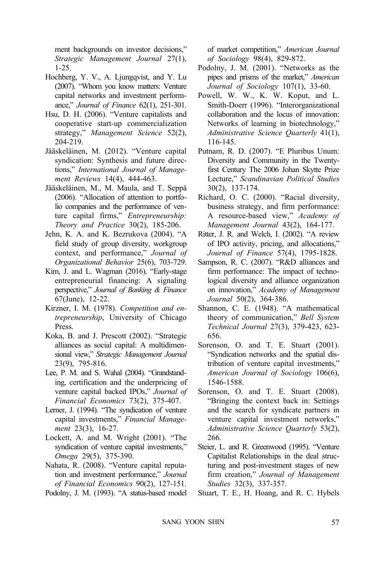ment backgrounds on investor decisions," *Strategic Management Journal* 27(1), 1-25.

- Hochberg, Y. V., A. Ljungqvist, and Y. Lu (2007). "Whom you know matters: Venture capital networks and investment performance," *Journal of Finance* 62(1), 251-301.
- Hsu, D. H. (2006). "Venture capitalists and cooperative start-up commercialization strategy," *Management Science* 52(2), 204-219.
- Jääskeläinen, M. (2012). "Venture capital syndication: Synthesis and future directions," *International Journal of Management Reviews* 14(4), 444-463.
- Jääskeläinen, M., M. Maula, and T. Seppä (2006). "Allocation of attention to portfolio companies and the performance of venture capital firms," *Entrepreneurship: Theory and Practice* 30(2), 185-206.
- Jehn, K. A. and K. Bezrukova (2004). "A field study of group diversity, workgroup context, and performance," *Journal of Organizational Behavior* 25(6), 703-729.
- Kim, J. and L. Wagman (2016). "Early-stage entrepreneurial financing: A signaling perspective," *Journal of Banking & Finance* 67(June), 12-22.
- Kirzner, I. M. (1978). *Competition and entrepreneurship*, University of Chicago Press.
- Koka, B. and J. Prescott (2002). "Strategic alliances as social capital: A multidimensional view," *Strategic Management Journal* 23(9), 795-816.
- Lee, P. M. and S. Wahal (2004). "Grandstanding, certification and the underpricing of venture capital backed IPOs," *Journal of Financial Economics* 73(2), 375-407.
- Lerner, J. (1994). "The syndication of venture capital investments," *Financial Management* 23(3), 16-27.
- Lockett, A. and M. Wright (2001). "The syndication of venture capital investments," *Omega* 29(5), 375-390.
- Nahata, R. (2008). "Venture capital reputation and investment performance," *Journal of Financial Economics* 90(2), 127-151.
- Podolny, J. M. (1993). "A status-based model

of market competition," *American Journal of Sociology* 98(4), 829-872.

- Podolny, J. M. (2001). "Networks as the pipes and prisms of the market," *American Journal of Sociology* 107(1), 33-60.
- Powell, W. W., K. W. Koput, and L. Smith-Doerr (1996). "Interorganizational collaboration and the locus of innovation: Networks of learning in biotechnology," *Administrative Science Quarterly* 41(1), 116-145.
- Putnam, R. D. (2007). "E Pluribus Unum: Diversity and Community in the Twentyfirst Century The 2006 Johan Skytte Prize Lecture," *Scandinavian Political Studies* 30(2), 137-174.
- Richard, O. C. (2000). "Racial diversity, business strategy, and firm performance: A resource-based view," *Academy of Management Journal* 43(2), 164-177.
- Ritter, J. R. and Welch, I. (2002). "A review of IPO activity, pricing, and allocations," *Journal of Finance* 57(4), 1795-1828.
- Sampson, R. C. (2007). "R&D alliances and firm performance: The impact of technological diversity and alliance organization on innovation," *Academy of Management Journal* 50(2), 364-386.
- Shannon, C. E. (1948). "A mathematical theory of communication," *Bell System Technical Journal* 27(3), 379-423, 623- 656.
- Sorenson, O. and T. E. Stuart (2001). "Syndication networks and the spatial distribution of venture capital investments," *American Journal of Sociology* 106(6), 1546-1588.
- Sorenson, O. and T. E. Stuart (2008). "Bringing the context back in: Settings and the search for syndicate partners in venture capital investment networks," *Administrative Science Quarterly* 53(2), 266.
- Steier, L. and R. Greenwood (1995). "Venture Capitalist Relationships in the deal structuring and post-investment stages of new firm creation," *Journal of Management Studies* 32(3), 337-357.
- Stuart, T. E., H. Hoang, and R. C. Hybels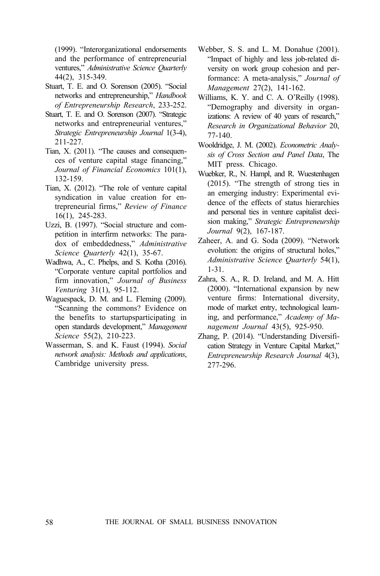(1999). "Interorganizational endorsements and the performance of entrepreneurial ventures," *Administrative Science Quarterly* 44(2), 315-349.

- Stuart, T. E. and O. Sorenson (2005). "Social networks and entrepreneurship," *Handbook of Entrepreneurship Research*, 233-252.
- Stuart, T. E. and O. Sorenson (2007). "Strategic networks and entrepreneurial ventures," *Strategic Entrepreneurship Journal* 1(3-4), 211-227.
- Tian, X. (2011). "The causes and consequences of venture capital stage financing," *Journal of Financial Economics* 101(1), 132-159.
- Tian, X. (2012). "The role of venture capital syndication in value creation for entrepreneurial firms," *Review of Finance*  16(1), 245-283.
- Uzzi, B. (1997). "Social structure and competition in interfirm networks: The paradox of embeddedness," *Administrative Science Quarterly* 42(1), 35-67.
- Wadhwa, A., C. Phelps, and S. Kotha (2016). "Corporate venture capital portfolios and firm innovation," *Journal of Business Venturing* 31(1), 95-112.
- Waguespack, D. M. and L. Fleming (2009). "Scanning the commons? Evidence on the benefits to startupsparticipating in open standards development," *Management Science* 55(2), 210-223.
- Wasserman, S. and K. Faust (1994). *Social network analysis: Methods and applications*, Cambridge university press.
- Webber, S. S. and L. M. Donahue (2001). "Impact of highly and less job-related diversity on work group cohesion and performance: A meta-analysis," *Journal of Management* 27(2), 141-162.
- Williams, K. Y. and C. A. O'Reilly (1998). "Demography and diversity in organizations: A review of 40 years of research," *Research in Organizational Behavior* 20, 77-140.
- Wooldridge, J. M. (2002). *Econometric Analysis of Cross Section and Panel Data*, The MIT press. Chicago.
- Wuebker, R., N. Hampl, and R. Wuestenhagen (2015). "The strength of strong ties in an emerging industry: Experimental evidence of the effects of status hierarchies and personal ties in venture capitalist decision making," *Strategic Entrepreneurship Journal* 9(2), 167-187.
- Zaheer, A. and G. Soda (2009). "Network evolution: the origins of structural holes," *Administrative Science Quarterly* 54(1), 1-31.
- Zahra, S. A., R. D. Ireland, and M. A. Hitt (2000). "International expansion by new venture firms: International diversity, mode of market entry, technological learning, and performance," *Academy of Management Journal* 43(5), 925-950.
- Zhang, P. (2014). "Understanding Diversification Strategy in Venture Capital Market," *Entrepreneurship Research Journal* 4(3), 277-296.